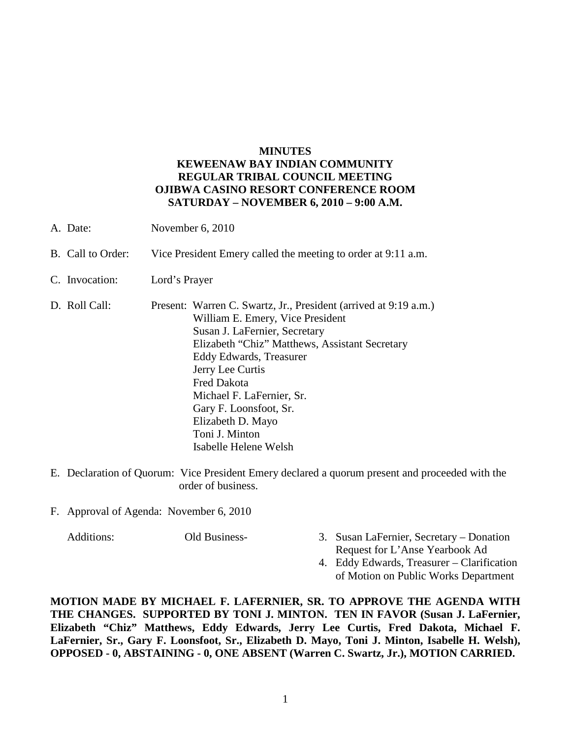#### **MINUTES**

## **KEWEENAW BAY INDIAN COMMUNITY REGULAR TRIBAL COUNCIL MEETING OJIBWA CASINO RESORT CONFERENCE ROOM SATURDAY – NOVEMBER 6, 2010 – 9:00 A.M.**

- A. Date: November 6, 2010
- B. Call to Order: Vice President Emery called the meeting to order at 9:11 a.m.
- C. Invocation: Lord's Prayer
- D. Roll Call: Present: Warren C. Swartz, Jr., President (arrived at 9:19 a.m.) William E. Emery, Vice President Susan J. LaFernier, Secretary Elizabeth "Chiz" Matthews, Assistant Secretary Eddy Edwards, Treasurer Jerry Lee Curtis Fred Dakota Michael F. LaFernier, Sr. Gary F. Loonsfoot, Sr. Elizabeth D. Mayo Toni J. Minton Isabelle Helene Welsh
- E. Declaration of Quorum: Vice President Emery declared a quorum present and proceeded with the order of business.
- F. Approval of Agenda: November 6, 2010

- Additions: Old Business- 3. Susan LaFernier, Secretary Donation Request for L'Anse Yearbook Ad
	- 4. Eddy Edwards, Treasurer Clarification of Motion on Public Works Department

**MOTION MADE BY MICHAEL F. LAFERNIER, SR. TO APPROVE THE AGENDA WITH THE CHANGES. SUPPORTED BY TONI J. MINTON. TEN IN FAVOR (Susan J. LaFernier, Elizabeth "Chiz" Matthews, Eddy Edwards, Jerry Lee Curtis, Fred Dakota, Michael F. LaFernier, Sr., Gary F. Loonsfoot, Sr., Elizabeth D. Mayo, Toni J. Minton, Isabelle H. Welsh), OPPOSED - 0, ABSTAINING - 0, ONE ABSENT (Warren C. Swartz, Jr.), MOTION CARRIED.**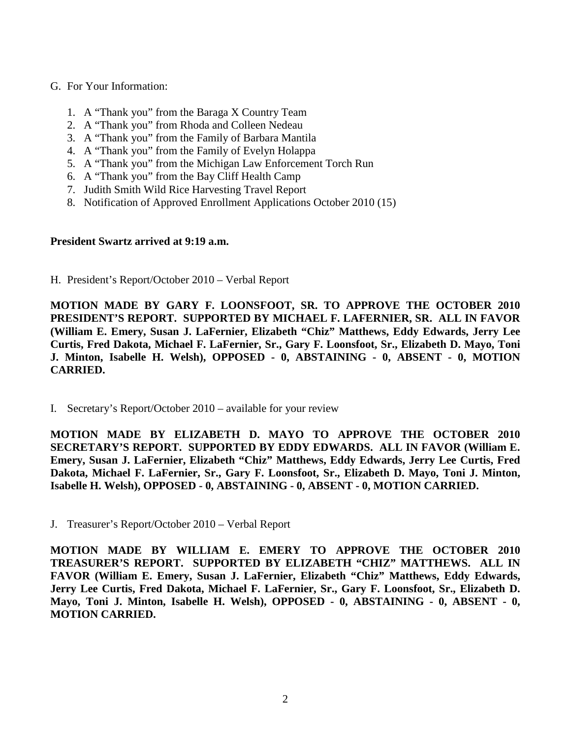#### G. For Your Information:

- 1. A "Thank you" from the Baraga X Country Team
- 2. A "Thank you" from Rhoda and Colleen Nedeau
- 3. A "Thank you" from the Family of Barbara Mantila
- 4. A "Thank you" from the Family of Evelyn Holappa
- 5. A "Thank you" from the Michigan Law Enforcement Torch Run
- 6. A "Thank you" from the Bay Cliff Health Camp
- 7. Judith Smith Wild Rice Harvesting Travel Report
- 8. Notification of Approved Enrollment Applications October 2010 (15)

### **President Swartz arrived at 9:19 a.m.**

H. President's Report/October 2010 – Verbal Report

**MOTION MADE BY GARY F. LOONSFOOT, SR. TO APPROVE THE OCTOBER 2010 PRESIDENT'S REPORT. SUPPORTED BY MICHAEL F. LAFERNIER, SR. ALL IN FAVOR (William E. Emery, Susan J. LaFernier, Elizabeth "Chiz" Matthews, Eddy Edwards, Jerry Lee Curtis, Fred Dakota, Michael F. LaFernier, Sr., Gary F. Loonsfoot, Sr., Elizabeth D. Mayo, Toni J. Minton, Isabelle H. Welsh), OPPOSED - 0, ABSTAINING - 0, ABSENT - 0, MOTION CARRIED.**

I. Secretary's Report/October 2010 – available for your review

**MOTION MADE BY ELIZABETH D. MAYO TO APPROVE THE OCTOBER 2010 SECRETARY'S REPORT. SUPPORTED BY EDDY EDWARDS. ALL IN FAVOR (William E. Emery, Susan J. LaFernier, Elizabeth "Chiz" Matthews, Eddy Edwards, Jerry Lee Curtis, Fred Dakota, Michael F. LaFernier, Sr., Gary F. Loonsfoot, Sr., Elizabeth D. Mayo, Toni J. Minton, Isabelle H. Welsh), OPPOSED - 0, ABSTAINING - 0, ABSENT - 0, MOTION CARRIED.**

J. Treasurer's Report/October 2010 – Verbal Report

**MOTION MADE BY WILLIAM E. EMERY TO APPROVE THE OCTOBER 2010 TREASURER'S REPORT. SUPPORTED BY ELIZABETH "CHIZ" MATTHEWS. ALL IN FAVOR (William E. Emery, Susan J. LaFernier, Elizabeth "Chiz" Matthews, Eddy Edwards, Jerry Lee Curtis, Fred Dakota, Michael F. LaFernier, Sr., Gary F. Loonsfoot, Sr., Elizabeth D. Mayo, Toni J. Minton, Isabelle H. Welsh), OPPOSED - 0, ABSTAINING - 0, ABSENT - 0, MOTION CARRIED.**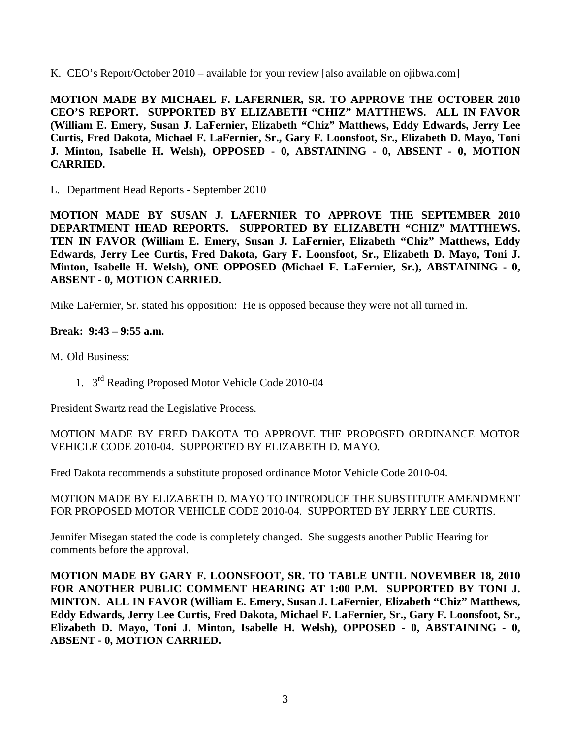K. CEO's Report/October 2010 – available for your review [also available on ojibwa.com]

**MOTION MADE BY MICHAEL F. LAFERNIER, SR. TO APPROVE THE OCTOBER 2010 CEO'S REPORT. SUPPORTED BY ELIZABETH "CHIZ" MATTHEWS. ALL IN FAVOR (William E. Emery, Susan J. LaFernier, Elizabeth "Chiz" Matthews, Eddy Edwards, Jerry Lee Curtis, Fred Dakota, Michael F. LaFernier, Sr., Gary F. Loonsfoot, Sr., Elizabeth D. Mayo, Toni J. Minton, Isabelle H. Welsh), OPPOSED - 0, ABSTAINING - 0, ABSENT - 0, MOTION CARRIED.**

L. Department Head Reports - September 2010

**MOTION MADE BY SUSAN J. LAFERNIER TO APPROVE THE SEPTEMBER 2010 DEPARTMENT HEAD REPORTS. SUPPORTED BY ELIZABETH "CHIZ" MATTHEWS. TEN IN FAVOR (William E. Emery, Susan J. LaFernier, Elizabeth "Chiz" Matthews, Eddy Edwards, Jerry Lee Curtis, Fred Dakota, Gary F. Loonsfoot, Sr., Elizabeth D. Mayo, Toni J. Minton, Isabelle H. Welsh), ONE OPPOSED (Michael F. LaFernier, Sr.), ABSTAINING - 0, ABSENT - 0, MOTION CARRIED.**

Mike LaFernier, Sr. stated his opposition: He is opposed because they were not all turned in.

# **Break: 9:43 – 9:55 a.m.**

M. Old Business:

1. 3rd Reading Proposed Motor Vehicle Code 2010-04

President Swartz read the Legislative Process.

MOTION MADE BY FRED DAKOTA TO APPROVE THE PROPOSED ORDINANCE MOTOR VEHICLE CODE 2010-04. SUPPORTED BY ELIZABETH D. MAYO.

Fred Dakota recommends a substitute proposed ordinance Motor Vehicle Code 2010-04.

MOTION MADE BY ELIZABETH D. MAYO TO INTRODUCE THE SUBSTITUTE AMENDMENT FOR PROPOSED MOTOR VEHICLE CODE 2010-04. SUPPORTED BY JERRY LEE CURTIS.

Jennifer Misegan stated the code is completely changed. She suggests another Public Hearing for comments before the approval.

**MOTION MADE BY GARY F. LOONSFOOT, SR. TO TABLE UNTIL NOVEMBER 18, 2010 FOR ANOTHER PUBLIC COMMENT HEARING AT 1:00 P.M. SUPPORTED BY TONI J. MINTON. ALL IN FAVOR (William E. Emery, Susan J. LaFernier, Elizabeth "Chiz" Matthews, Eddy Edwards, Jerry Lee Curtis, Fred Dakota, Michael F. LaFernier, Sr., Gary F. Loonsfoot, Sr., Elizabeth D. Mayo, Toni J. Minton, Isabelle H. Welsh), OPPOSED - 0, ABSTAINING - 0, ABSENT - 0, MOTION CARRIED.**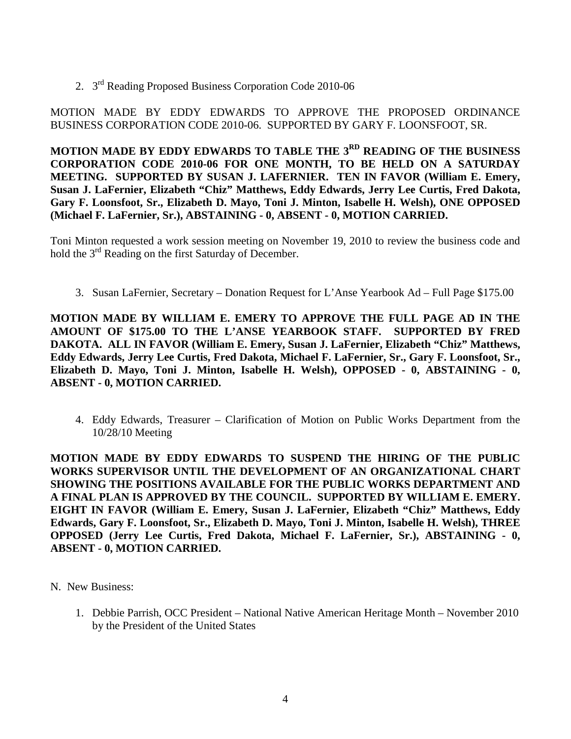2. 3rd Reading Proposed Business Corporation Code 2010-06

MOTION MADE BY EDDY EDWARDS TO APPROVE THE PROPOSED ORDINANCE BUSINESS CORPORATION CODE 2010-06. SUPPORTED BY GARY F. LOONSFOOT, SR.

**MOTION MADE BY EDDY EDWARDS TO TABLE THE 3RD READING OF THE BUSINESS CORPORATION CODE 2010-06 FOR ONE MONTH, TO BE HELD ON A SATURDAY MEETING. SUPPORTED BY SUSAN J. LAFERNIER. TEN IN FAVOR (William E. Emery, Susan J. LaFernier, Elizabeth "Chiz" Matthews, Eddy Edwards, Jerry Lee Curtis, Fred Dakota, Gary F. Loonsfoot, Sr., Elizabeth D. Mayo, Toni J. Minton, Isabelle H. Welsh), ONE OPPOSED (Michael F. LaFernier, Sr.), ABSTAINING - 0, ABSENT - 0, MOTION CARRIED.**

Toni Minton requested a work session meeting on November 19, 2010 to review the business code and hold the 3<sup>rd</sup> Reading on the first Saturday of December.

3. Susan LaFernier, Secretary – Donation Request for L'Anse Yearbook Ad – Full Page \$175.00

**MOTION MADE BY WILLIAM E. EMERY TO APPROVE THE FULL PAGE AD IN THE AMOUNT OF \$175.00 TO THE L'ANSE YEARBOOK STAFF. SUPPORTED BY FRED DAKOTA. ALL IN FAVOR (William E. Emery, Susan J. LaFernier, Elizabeth "Chiz" Matthews, Eddy Edwards, Jerry Lee Curtis, Fred Dakota, Michael F. LaFernier, Sr., Gary F. Loonsfoot, Sr., Elizabeth D. Mayo, Toni J. Minton, Isabelle H. Welsh), OPPOSED - 0, ABSTAINING - 0, ABSENT - 0, MOTION CARRIED.**

4. Eddy Edwards, Treasurer – Clarification of Motion on Public Works Department from the 10/28/10 Meeting

**MOTION MADE BY EDDY EDWARDS TO SUSPEND THE HIRING OF THE PUBLIC WORKS SUPERVISOR UNTIL THE DEVELOPMENT OF AN ORGANIZATIONAL CHART SHOWING THE POSITIONS AVAILABLE FOR THE PUBLIC WORKS DEPARTMENT AND A FINAL PLAN IS APPROVED BY THE COUNCIL. SUPPORTED BY WILLIAM E. EMERY. EIGHT IN FAVOR (William E. Emery, Susan J. LaFernier, Elizabeth "Chiz" Matthews, Eddy Edwards, Gary F. Loonsfoot, Sr., Elizabeth D. Mayo, Toni J. Minton, Isabelle H. Welsh), THREE OPPOSED (Jerry Lee Curtis, Fred Dakota, Michael F. LaFernier, Sr.), ABSTAINING - 0, ABSENT - 0, MOTION CARRIED.**

- N. New Business:
	- 1. Debbie Parrish, OCC President National Native American Heritage Month November 2010 by the President of the United States